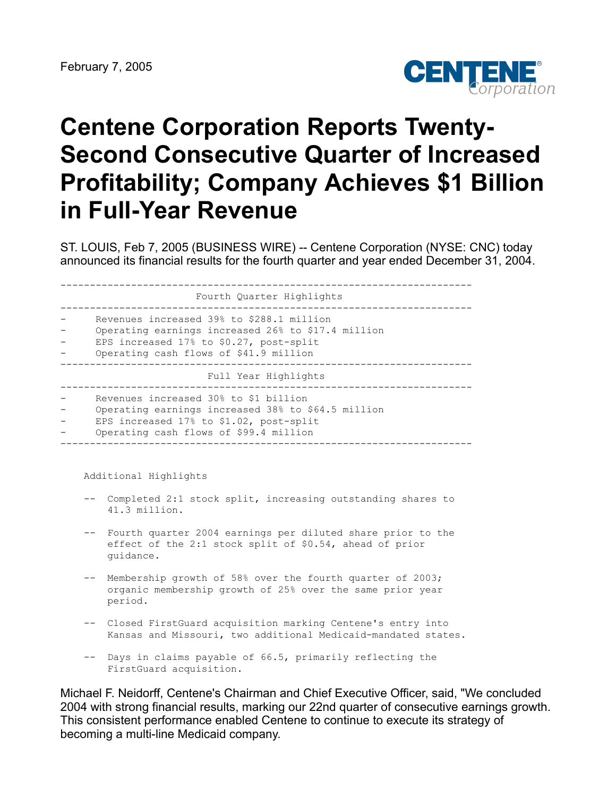

# **Centene Corporation Reports Twenty-Second Consecutive Quarter of Increased Profitability; Company Achieves \$1 Billion in Full-Year Revenue**

ST. LOUIS, Feb 7, 2005 (BUSINESS WIRE) -- Centene Corporation (NYSE: CNC) today announced its financial results for the fourth quarter and year ended December 31, 2004.

| Fourth Quarter Highlights                                                                                                                                                            |
|--------------------------------------------------------------------------------------------------------------------------------------------------------------------------------------|
| Revenues increased 39% to \$288.1 million<br>Operating earnings increased 26% to \$17.4 million<br>EPS increased 17% to \$0.27, post-split<br>Operating cash flows of \$41.9 million |
| Full Year Highlights                                                                                                                                                                 |
| Revenues increased 30% to \$1 billion<br>Operating earnings increased 38% to \$64.5 million<br>EPS increased 17% to \$1.02, post-split<br>Operating cash flows of \$99.4 million     |

Additional Highlights

- -- Completed 2:1 stock split, increasing outstanding shares to 41.3 million.
- -- Fourth quarter 2004 earnings per diluted share prior to the effect of the 2:1 stock split of \$0.54, ahead of prior guidance.
- -- Membership growth of 58% over the fourth quarter of 2003; organic membership growth of 25% over the same prior year period.
- -- Closed FirstGuard acquisition marking Centene's entry into Kansas and Missouri, two additional Medicaid-mandated states.
- -- Days in claims payable of 66.5, primarily reflecting the FirstGuard acquisition.

Michael F. Neidorff, Centene's Chairman and Chief Executive Officer, said, "We concluded 2004 with strong financial results, marking our 22nd quarter of consecutive earnings growth. This consistent performance enabled Centene to continue to execute its strategy of becoming a multi-line Medicaid company.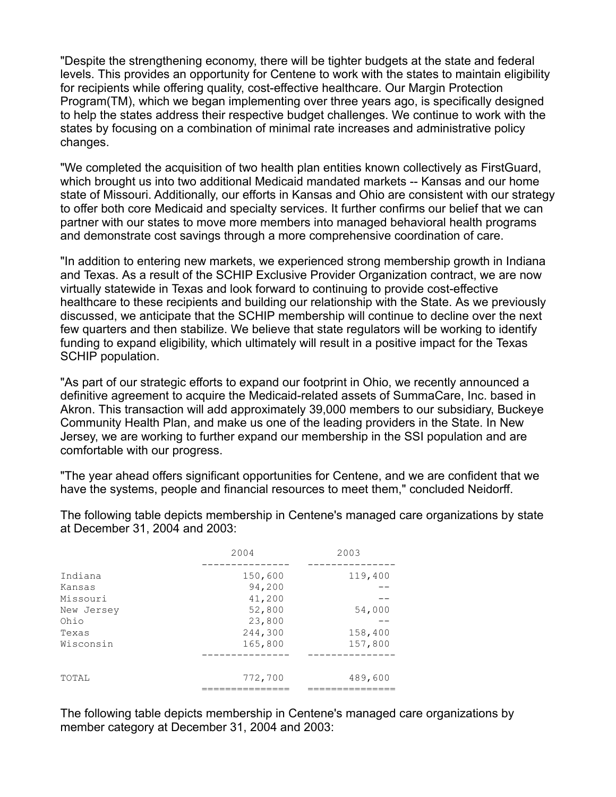"Despite the strengthening economy, there will be tighter budgets at the state and federal levels. This provides an opportunity for Centene to work with the states to maintain eligibility for recipients while offering quality, cost-effective healthcare. Our Margin Protection Program(TM), which we began implementing over three years ago, is specifically designed to help the states address their respective budget challenges. We continue to work with the states by focusing on a combination of minimal rate increases and administrative policy changes.

"We completed the acquisition of two health plan entities known collectively as FirstGuard, which brought us into two additional Medicaid mandated markets -- Kansas and our home state of Missouri. Additionally, our efforts in Kansas and Ohio are consistent with our strategy to offer both core Medicaid and specialty services. It further confirms our belief that we can partner with our states to move more members into managed behavioral health programs and demonstrate cost savings through a more comprehensive coordination of care.

"In addition to entering new markets, we experienced strong membership growth in Indiana and Texas. As a result of the SCHIP Exclusive Provider Organization contract, we are now virtually statewide in Texas and look forward to continuing to provide cost-effective healthcare to these recipients and building our relationship with the State. As we previously discussed, we anticipate that the SCHIP membership will continue to decline over the next few quarters and then stabilize. We believe that state regulators will be working to identify funding to expand eligibility, which ultimately will result in a positive impact for the Texas SCHIP population.

"As part of our strategic efforts to expand our footprint in Ohio, we recently announced a definitive agreement to acquire the Medicaid-related assets of SummaCare, Inc. based in Akron. This transaction will add approximately 39,000 members to our subsidiary, Buckeye Community Health Plan, and make us one of the leading providers in the State. In New Jersey, we are working to further expand our membership in the SSI population and are comfortable with our progress.

"The year ahead offers significant opportunities for Centene, and we are confident that we have the systems, people and financial resources to meet them," concluded Neidorff.

| 2004       |         | 2003    |
|------------|---------|---------|
| Indiana    | 150,600 | 119,400 |
| Kansas     | 94,200  |         |
| Missouri   | 41,200  |         |
| New Jersey | 52,800  | 54,000  |
| Ohio       | 23,800  |         |
| Texas      | 244,300 | 158,400 |
| Wisconsin  | 165,800 | 157,800 |
|            |         |         |
| TOTAL      | 772,700 | 489,600 |
|            |         |         |

The following table depicts membership in Centene's managed care organizations by state at December 31, 2004 and 2003:

The following table depicts membership in Centene's managed care organizations by member category at December 31, 2004 and 2003: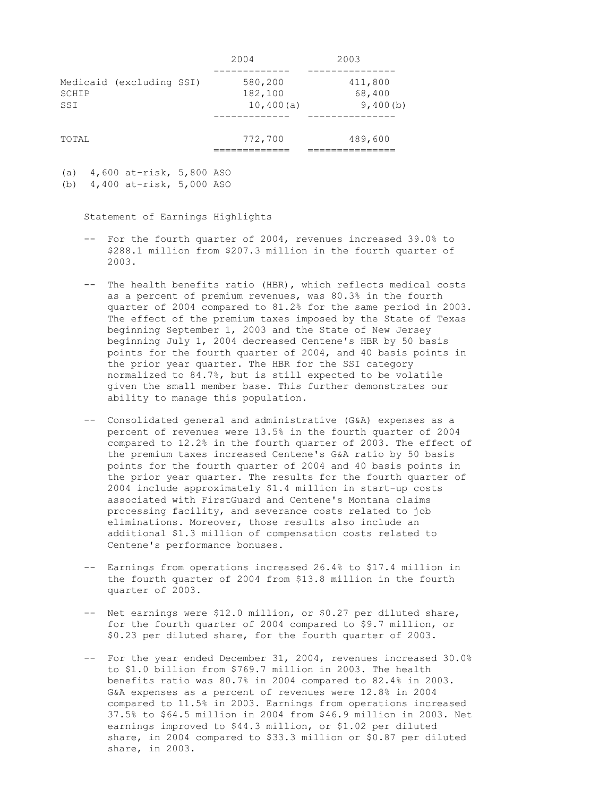|                                          | 2004                            | 2003                          |
|------------------------------------------|---------------------------------|-------------------------------|
| Medicaid (excluding SSI)<br>SCHIP<br>SSI | 580,200<br>182,100<br>10,400(a) | 411,800<br>68,400<br>9,400(b) |
| TOTAL                                    | 772,700                         | 489,600                       |

(a) 4,600 at-risk, 5,800 ASO

Statement of Earnings Highlights

- -- For the fourth quarter of 2004, revenues increased 39.0% to \$288.1 million from \$207.3 million in the fourth quarter of 2003.
- -- The health benefits ratio (HBR), which reflects medical costs as a percent of premium revenues, was 80.3% in the fourth quarter of 2004 compared to 81.2% for the same period in 2003. The effect of the premium taxes imposed by the State of Texas beginning September 1, 2003 and the State of New Jersey beginning July 1, 2004 decreased Centene's HBR by 50 basis points for the fourth quarter of 2004, and 40 basis points in the prior year quarter. The HBR for the SSI category normalized to 84.7%, but is still expected to be volatile given the small member base. This further demonstrates our ability to manage this population.
- -- Consolidated general and administrative (G&A) expenses as a percent of revenues were 13.5% in the fourth quarter of 2004 compared to 12.2% in the fourth quarter of 2003. The effect of the premium taxes increased Centene's G&A ratio by 50 basis points for the fourth quarter of 2004 and 40 basis points in the prior year quarter. The results for the fourth quarter of 2004 include approximately \$1.4 million in start-up costs associated with FirstGuard and Centene's Montana claims processing facility, and severance costs related to job eliminations. Moreover, those results also include an additional \$1.3 million of compensation costs related to Centene's performance bonuses.
- -- Earnings from operations increased 26.4% to \$17.4 million in the fourth quarter of 2004 from \$13.8 million in the fourth quarter of 2003.
- -- Net earnings were \$12.0 million, or \$0.27 per diluted share, for the fourth quarter of 2004 compared to \$9.7 million, or \$0.23 per diluted share, for the fourth quarter of 2003.
- -- For the year ended December 31, 2004, revenues increased 30.0% to \$1.0 billion from \$769.7 million in 2003. The health benefits ratio was 80.7% in 2004 compared to 82.4% in 2003. G&A expenses as a percent of revenues were 12.8% in 2004 compared to 11.5% in 2003. Earnings from operations increased 37.5% to \$64.5 million in 2004 from \$46.9 million in 2003. Net earnings improved to \$44.3 million, or \$1.02 per diluted share, in 2004 compared to \$33.3 million or \$0.87 per diluted share, in 2003.

<sup>(</sup>b) 4,400 at-risk, 5,000 ASO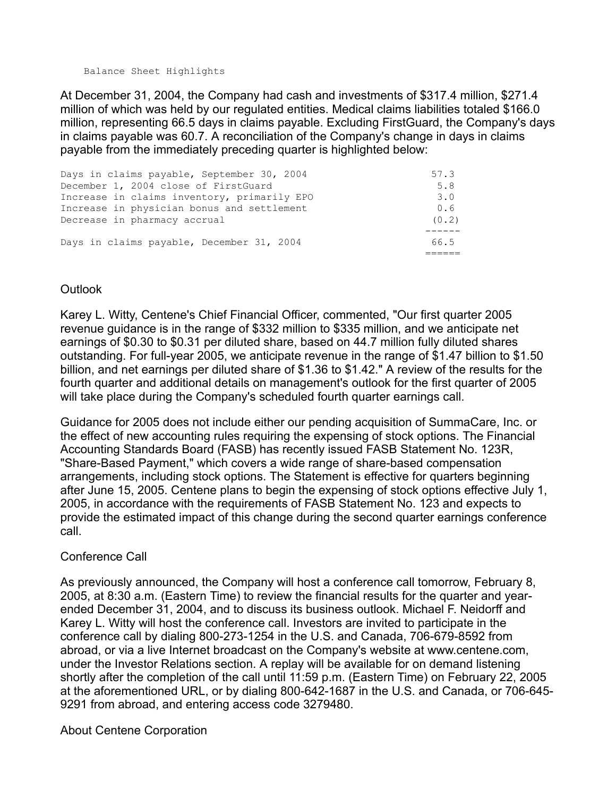Balance Sheet Highlights

At December 31, 2004, the Company had cash and investments of \$317.4 million, \$271.4 million of which was held by our regulated entities. Medical claims liabilities totaled \$166.0 million, representing 66.5 days in claims payable. Excluding FirstGuard, the Company's days in claims payable was 60.7. A reconciliation of the Company's change in days in claims payable from the immediately preceding quarter is highlighted below:

| Days in claims payable, September 30, 2004  | 57.3  |
|---------------------------------------------|-------|
| December 1, 2004 close of FirstGuard        | 5.8   |
| Increase in claims inventory, primarily EPO | 3.0   |
| Increase in physician bonus and settlement  | 0.6   |
| Decrease in pharmacy accrual                | (0.2) |
|                                             |       |
| Days in claims payable, December 31, 2004   | 66.5  |
|                                             |       |

## **Outlook**

Karey L. Witty, Centene's Chief Financial Officer, commented, "Our first quarter 2005 revenue guidance is in the range of \$332 million to \$335 million, and we anticipate net earnings of \$0.30 to \$0.31 per diluted share, based on 44.7 million fully diluted shares outstanding. For full-year 2005, we anticipate revenue in the range of \$1.47 billion to \$1.50 billion, and net earnings per diluted share of \$1.36 to \$1.42." A review of the results for the fourth quarter and additional details on management's outlook for the first quarter of 2005 will take place during the Company's scheduled fourth quarter earnings call.

Guidance for 2005 does not include either our pending acquisition of SummaCare, Inc. or the effect of new accounting rules requiring the expensing of stock options. The Financial Accounting Standards Board (FASB) has recently issued FASB Statement No. 123R, "Share-Based Payment," which covers a wide range of share-based compensation arrangements, including stock options. The Statement is effective for quarters beginning after June 15, 2005. Centene plans to begin the expensing of stock options effective July 1, 2005, in accordance with the requirements of FASB Statement No. 123 and expects to provide the estimated impact of this change during the second quarter earnings conference call.

## Conference Call

As previously announced, the Company will host a conference call tomorrow, February 8, 2005, at 8:30 a.m. (Eastern Time) to review the financial results for the quarter and yearended December 31, 2004, and to discuss its business outlook. Michael F. Neidorff and Karey L. Witty will host the conference call. Investors are invited to participate in the conference call by dialing 800-273-1254 in the U.S. and Canada, 706-679-8592 from abroad, or via a live Internet broadcast on the Company's website at www.centene.com, under the Investor Relations section. A replay will be available for on demand listening shortly after the completion of the call until 11:59 p.m. (Eastern Time) on February 22, 2005 at the aforementioned URL, or by dialing 800-642-1687 in the U.S. and Canada, or 706-645- 9291 from abroad, and entering access code 3279480.

## About Centene Corporation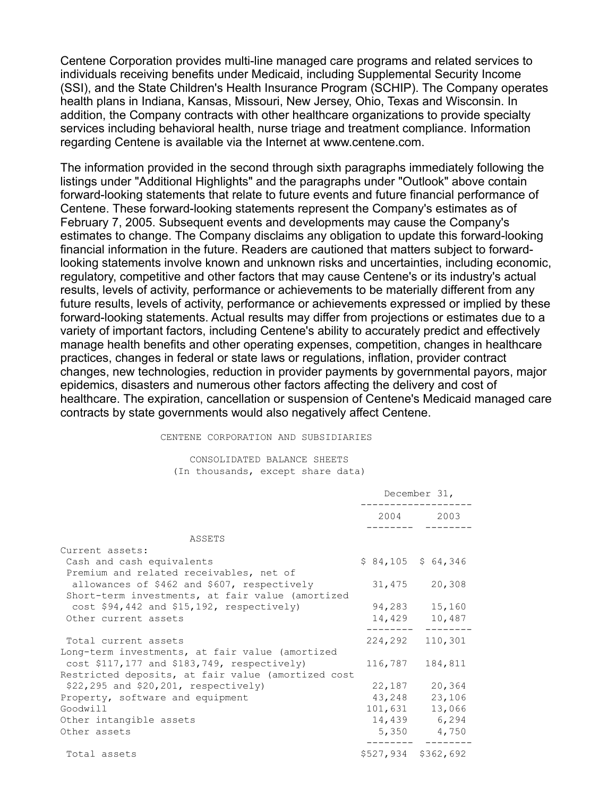Centene Corporation provides multi-line managed care programs and related services to individuals receiving benefits under Medicaid, including Supplemental Security Income (SSI), and the State Children's Health Insurance Program (SCHIP). The Company operates health plans in Indiana, Kansas, Missouri, New Jersey, Ohio, Texas and Wisconsin. In addition, the Company contracts with other healthcare organizations to provide specialty services including behavioral health, nurse triage and treatment compliance. Information regarding Centene is available via the Internet at www.centene.com.

The information provided in the second through sixth paragraphs immediately following the listings under "Additional Highlights" and the paragraphs under "Outlook" above contain forward-looking statements that relate to future events and future financial performance of Centene. These forward-looking statements represent the Company's estimates as of February 7, 2005. Subsequent events and developments may cause the Company's estimates to change. The Company disclaims any obligation to update this forward-looking financial information in the future. Readers are cautioned that matters subject to forwardlooking statements involve known and unknown risks and uncertainties, including economic, regulatory, competitive and other factors that may cause Centene's or its industry's actual results, levels of activity, performance or achievements to be materially different from any future results, levels of activity, performance or achievements expressed or implied by these forward-looking statements. Actual results may differ from projections or estimates due to a variety of important factors, including Centene's ability to accurately predict and effectively manage health benefits and other operating expenses, competition, changes in healthcare practices, changes in federal or state laws or regulations, inflation, provider contract changes, new technologies, reduction in provider payments by governmental payors, major epidemics, disasters and numerous other factors affecting the delivery and cost of healthcare. The expiration, cancellation or suspension of Centene's Medicaid managed care contracts by state governments would also negatively affect Centene.

#### CENTENE CORPORATION AND SUBSIDIARIES

#### CONSOLIDATED BALANCE SHEETS (In thousands, except share data)

|                                                    | December 31, |                     |  |
|----------------------------------------------------|--------------|---------------------|--|
|                                                    |              | 2004 2003           |  |
| ASSETS                                             |              |                     |  |
| Current assets:                                    |              |                     |  |
| Cash and cash equivalents                          |              | $$84,105$ $$64,346$ |  |
| Premium and related receivables, net of            |              |                     |  |
| allowances of \$462 and \$607, respectively        |              | 31,475 20,308       |  |
| Short-term investments, at fair value (amortized   |              |                     |  |
| cost \$94,442 and \$15,192, respectively)          |              | 94,283 15,160       |  |
| Other current assets                               |              | 14,429 10,487       |  |
|                                                    |              |                     |  |
| Total current assets                               | 224,292      | 110,301             |  |
| Long-term investments, at fair value (amortized    |              |                     |  |
| cost \$117,177 and \$183,749, respectively)        | 116,787      | 184,811             |  |
| Restricted deposits, at fair value (amortized cost |              |                     |  |
| $$22,295$ and $$20,201$ , respectively)            | 22,187       | 20,364              |  |
| Property, software and equipment                   | 43,248       | 23,106              |  |
| Goodwill                                           | 101,631      | 13,066              |  |
| Other intangible assets                            |              | 14,439 6,294        |  |
| Other assets                                       |              | 5,350 4,750         |  |
| Total assets                                       |              | \$527,934 \$362,692 |  |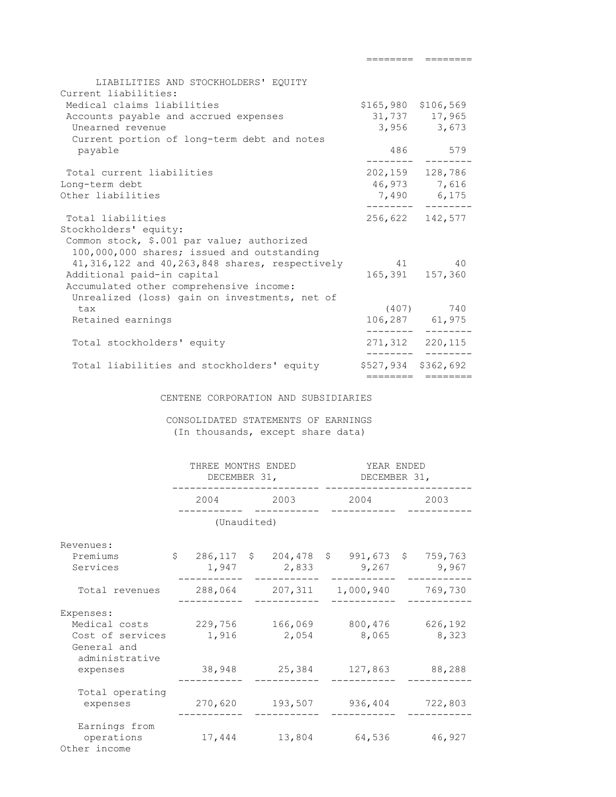| LIABILITIES AND STOCKHOLDERS' EQUITY<br>Current liabilities: |                     |                     |
|--------------------------------------------------------------|---------------------|---------------------|
| Medical claims liabilities                                   | \$165,980 \$106,569 |                     |
| Accounts payable and accrued expenses                        |                     | 31,737 17,965       |
| Unearned revenue                                             |                     | $3,956$ $3,673$     |
| Current portion of long-term debt and notes                  |                     |                     |
| payable                                                      |                     | 486 579             |
| Total current liabilities                                    |                     | 202, 159 128, 786   |
| Long-term debt                                               |                     | 46,973 7,616        |
| Other liabilities                                            |                     | 7,490 6,175         |
| Total liabilities                                            |                     | 256,622 142,577     |
| Stockholders' equity:                                        |                     |                     |
| Common stock, \$.001 par value; authorized                   |                     |                     |
| 100,000,000 shares; issued and outstanding                   |                     |                     |
| 41, 316, 122 and 40, 263, 848 shares, respectively 41 40     |                     |                     |
| Additional paid-in capital                                   |                     | 165, 391 157, 360   |
| Accumulated other comprehensive income:                      |                     |                     |
| Unrealized (loss) gain on investments, net of                |                     |                     |
| tax                                                          |                     | $(407)$ 740         |
| Retained earnings                                            |                     | 106,287 61,975      |
| Total stockholders' equity                                   |                     | 271,312 220,115     |
|                                                              |                     |                     |
| Total liabilities and stockholders' equity                   |                     | \$527,934 \$362,692 |
|                                                              |                     |                     |

======== ========

CENTENE CORPORATION AND SUBSIDIARIES

 CONSOLIDATED STATEMENTS OF EARNINGS (In thousands, except share data)

|                                                               | THREE MONTHS ENDED<br>DECEMBER 31,                   |  |         |  | YEAR ENDED<br>DECEMBER 31, |  |                  |  |
|---------------------------------------------------------------|------------------------------------------------------|--|---------|--|----------------------------|--|------------------|--|
|                                                               | 2004                                                 |  | 2003    |  | 2004                       |  | 2003             |  |
|                                                               | (Unaudited)                                          |  |         |  |                            |  |                  |  |
| Revenues:                                                     |                                                      |  |         |  |                            |  |                  |  |
| Premiums<br>Services                                          | \$ 286,117 \$ 204,478 \$ 991,673 \$ 759,763<br>1,947 |  | 2,833   |  | 9,267                      |  | 9,967            |  |
| Total revenues                                                |                                                      |  |         |  | 288,064 207,311 1,000,940  |  | 769,730          |  |
| Expenses:<br>Medical costs<br>Cost of services<br>General and | 229,756<br>1,916                                     |  | 2,054   |  | 166,069 800,476<br>8,065   |  | 626,192<br>8,323 |  |
| administrative<br>expenses                                    | 38,948                                               |  | 25,384  |  | 127,863                    |  | 88,288           |  |
| Total operating<br>expenses                                   | 270,620                                              |  | 193,507 |  | 936,404                    |  | 722,803          |  |
| Earnings from<br>operations<br>Other income                   | 17,444                                               |  | 13,804  |  | 64,536                     |  | 46,927           |  |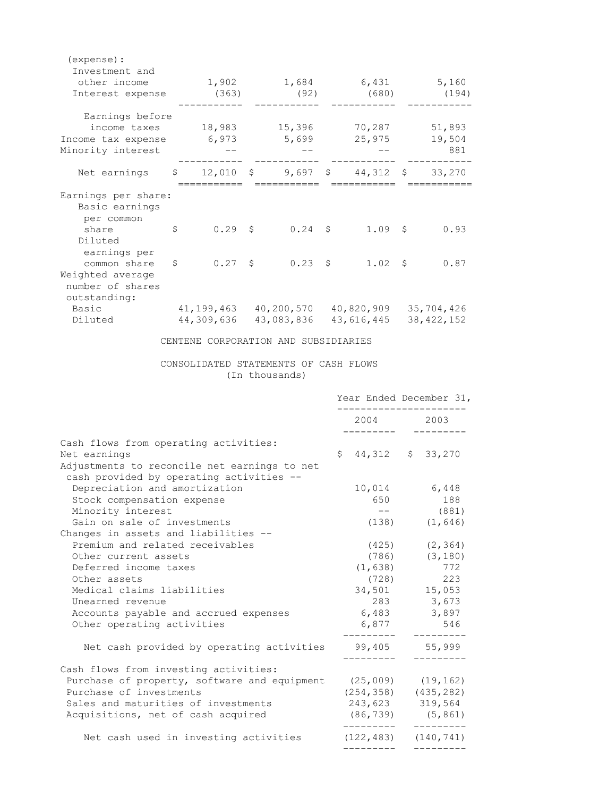| (expense) :<br>Investment and<br>other income<br>Interest expense                    |                                      | 1,902<br>(363) |  | 1,684 6,431 5,160<br>(92)                                              |  | (680)           |  | (194)                      |
|--------------------------------------------------------------------------------------|--------------------------------------|----------------|--|------------------------------------------------------------------------|--|-----------------|--|----------------------------|
| Earnings before<br>income taxes<br>Income tax expense 6,973<br>Minority interest     |                                      |                |  | 18,983 15,396 70,287 51,893                                            |  | 5,699 25,975    |  | 19,504<br>881              |
| Net earnings \$                                                                      |                                      |                |  | 12,010 \$ 9,697 \$ 44,312 \$ 33,270                                    |  |                 |  |                            |
| Earnings per share:<br>Basic earnings<br>per common<br>share<br>Diluted              | $\mathsf{S}$                         |                |  | $0.29$ \$ $0.24$ \$                                                    |  | 1.09S           |  | 0.93                       |
| earnings per<br>common share<br>Weighted average<br>number of shares<br>outstanding: | $\mathsf{S}$                         |                |  | $0.27 \quad $6.23 \quad $8$                                            |  | $1.02 \quad$ \$ |  | 0.87                       |
| Basic<br>Diluted                                                                     |                                      |                |  | 41,199,463  40,200,570  40,820,909<br>44,309,636 43,083,836 43,616,445 |  |                 |  | 35,704,426<br>38, 422, 152 |
|                                                                                      | CENTENE CORPORATION AND SUBSIDIARIES |                |  |                                                                        |  |                 |  |                            |
| CONSOLIDATED STATEMENTS OF CASH FLOWS                                                |                                      |                |  |                                                                        |  |                 |  |                            |

(In thousands)

|                                                                 | Year Ended December 31,   |  |                    |  |
|-----------------------------------------------------------------|---------------------------|--|--------------------|--|
|                                                                 | 2004 2003                 |  |                    |  |
| Cash flows from operating activities:                           |                           |  |                    |  |
| Net earnings                                                    | $$44,312$ $$33,270$       |  |                    |  |
| Adjustments to reconcile net earnings to net                    |                           |  |                    |  |
| cash provided by operating activities --                        |                           |  |                    |  |
| Depreciation and amortization                                   | 10,014 6,448              |  |                    |  |
| Stock compensation expense                                      | 650                       |  | 188                |  |
| Minority interest                                               | $ -$                      |  | (881)              |  |
| Gain on sale of investments                                     |                           |  | $(138)$ $(1, 646)$ |  |
| Changes in assets and liabilities --                            |                           |  |                    |  |
| Premium and related receivables                                 |                           |  | $(425)$ $(2, 364)$ |  |
| Other current assets                                            | $(786)$ $(3,180)$         |  |                    |  |
| Deferred income taxes                                           | $(1, 638)$ 772            |  |                    |  |
| Other assets                                                    | (728)                     |  | 223                |  |
| Medical claims liabilities                                      | 34,501 15,053             |  |                    |  |
| Unearned revenue                                                | 283 3,673                 |  |                    |  |
| Accounts payable and accrued expenses                           | 6,483                     |  | 3,897              |  |
| Other operating activities                                      | 6,877 546                 |  |                    |  |
| Net cash provided by operating activities                       | 99,405 55,999             |  |                    |  |
|                                                                 |                           |  |                    |  |
| Cash flows from investing activities:                           |                           |  |                    |  |
| Purchase of property, software and equipment (25,009) (19,162)  |                           |  |                    |  |
| Purchase of investments                                         | $(254, 358)$ $(435, 282)$ |  |                    |  |
| Sales and maturities of investments                             | 243,623 319,564           |  |                    |  |
| Acquisitions, net of cash acquired                              | $(86, 739)$ $(5, 861)$    |  |                    |  |
| Net cash used in investing activities $(122, 483)$ $(140, 741)$ |                           |  |                    |  |
|                                                                 |                           |  |                    |  |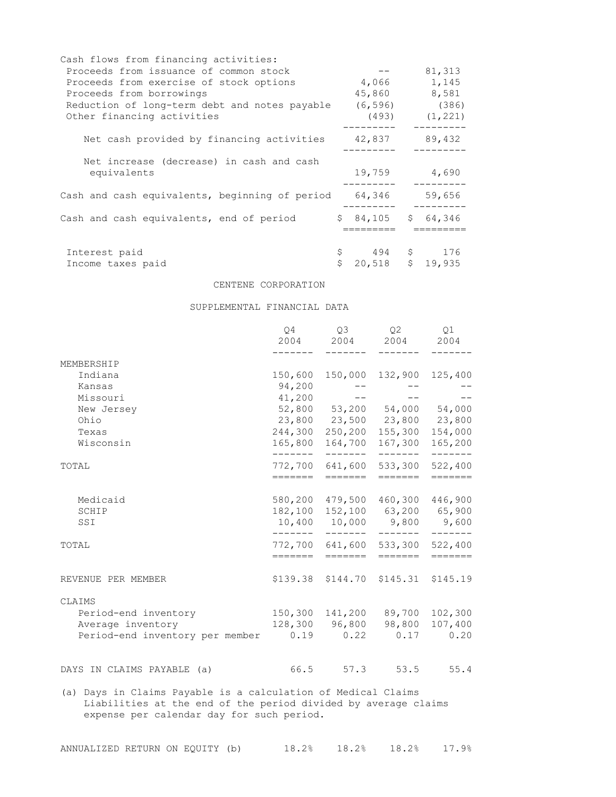| Cash flows from financing activities:          |    |          |          |
|------------------------------------------------|----|----------|----------|
| Proceeds from issuance of common stock         |    |          | 81,313   |
| Proceeds from exercise of stock options        |    | 4,066    | 1,145    |
| Proceeds from borrowings                       |    | 45,860   | 8,581    |
| Reduction of long-term debt and notes payable  |    | (6, 596) | (386)    |
| Other financing activities                     |    | (493)    | (1, 221) |
| Net cash provided by financing activities      |    | 42,837   | 89,432   |
| Net increase (decrease) in cash and cash       |    |          |          |
| equivalents                                    |    | 19,759   | 4,690    |
| Cash and cash equivalents, beginning of period |    | 64,346   | 59,656   |
| Cash and cash equivalents, end of period       |    | \$84,105 | \$64,346 |
|                                                |    |          |          |
| Interest paid                                  | \$ | $494$ \$ | 176      |
| Income taxes paid                              | Ś  | 20,518   | \$19,935 |

#### CENTENE CORPORATION

#### SUPPLEMENTAL FINANCIAL DATA

| 250,200 | 150,000 132,900 125,400<br>52,800 53,200 54,000 54,000<br>23,800 23,500 23,800 23,800 |                                                                                                                                                                                                                                                                                                                           |
|---------|---------------------------------------------------------------------------------------|---------------------------------------------------------------------------------------------------------------------------------------------------------------------------------------------------------------------------------------------------------------------------------------------------------------------------|
|         |                                                                                       |                                                                                                                                                                                                                                                                                                                           |
|         |                                                                                       |                                                                                                                                                                                                                                                                                                                           |
|         |                                                                                       |                                                                                                                                                                                                                                                                                                                           |
|         |                                                                                       |                                                                                                                                                                                                                                                                                                                           |
|         |                                                                                       |                                                                                                                                                                                                                                                                                                                           |
|         |                                                                                       |                                                                                                                                                                                                                                                                                                                           |
|         |                                                                                       | 154,000                                                                                                                                                                                                                                                                                                                   |
|         |                                                                                       | 165,200<br>------                                                                                                                                                                                                                                                                                                         |
|         |                                                                                       | 522,400                                                                                                                                                                                                                                                                                                                   |
| ======= |                                                                                       | $=$ $=$ $=$ $=$ $=$ $=$                                                                                                                                                                                                                                                                                                   |
| 479,500 |                                                                                       |                                                                                                                                                                                                                                                                                                                           |
|         |                                                                                       |                                                                                                                                                                                                                                                                                                                           |
|         |                                                                                       |                                                                                                                                                                                                                                                                                                                           |
|         |                                                                                       | 533,300 522,400                                                                                                                                                                                                                                                                                                           |
|         |                                                                                       | $=$ $=$ $=$ $=$ $=$ $=$                                                                                                                                                                                                                                                                                                   |
|         |                                                                                       | $$145.31$ $$145.19$                                                                                                                                                                                                                                                                                                       |
|         |                                                                                       |                                                                                                                                                                                                                                                                                                                           |
|         |                                                                                       |                                                                                                                                                                                                                                                                                                                           |
|         |                                                                                       | 107,400                                                                                                                                                                                                                                                                                                                   |
|         |                                                                                       |                                                                                                                                                                                                                                                                                                                           |
|         |                                                                                       | 55.4                                                                                                                                                                                                                                                                                                                      |
|         | 164,700                                                                               | 155,300<br>167,300<br>- - - - - - - <sup>-</sup><br>641,600<br>533,300<br>=======<br>460,300 446,900<br>152,100 63,200 65,900<br>10,400 10,000 9,800 9,600<br>772,700 641,600<br>=======<br>=======<br>\$144.70<br>150,300 141,200 89,700 102,300<br>128,300 96,800 98,800<br>$0.19$ $0.22$ $0.17$ $0.20$<br>53.5<br>57.3 |

(a) Days in Claims Payable is a calculation of Medical Claims Liabilities at the end of the period divided by average claims expense per calendar day for such period.

| ANNUALIZED RETURN ON EQUITY (b) |  |  | 18.2% | 18.2% | 17.9% |
|---------------------------------|--|--|-------|-------|-------|
|---------------------------------|--|--|-------|-------|-------|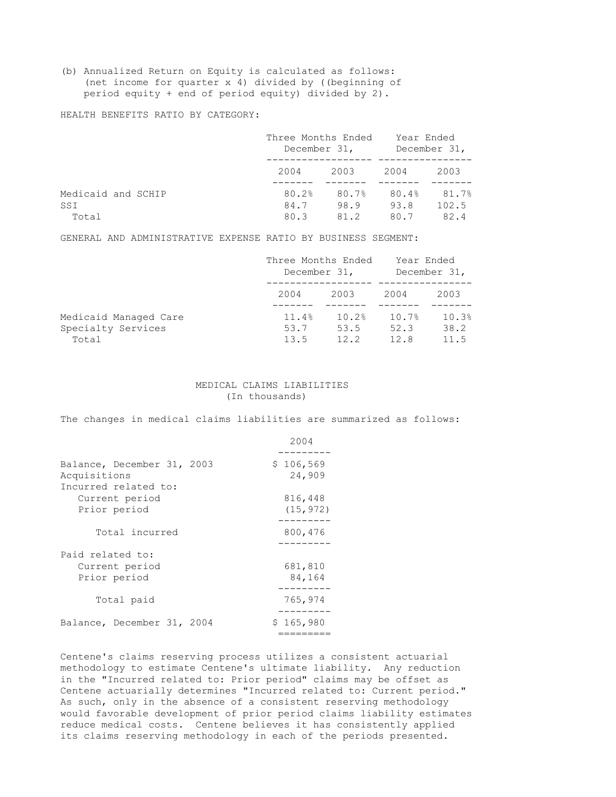(b) Annualized Return on Equity is calculated as follows: (net income for quarter x 4) divided by ((beginning of period equity + end of period equity) divided by 2).

HEALTH BENEFITS RATIO BY CATEGORY:

|                           | Three Months Ended<br>December 31, |               | Year Ended<br>December 31, |                |
|---------------------------|------------------------------------|---------------|----------------------------|----------------|
|                           | 2004                               | 2003          | 2004                       | 2003           |
| Medicaid and SCHIP<br>SSI | 80.2%<br>84.7                      | 80.7%<br>98.9 | 80.4%<br>93.8              | 81.7%<br>102.5 |
| Total                     | 80.3                               | 81.2          | 80.7                       | 82.4           |

GENERAL AND ADMINISTRATIVE EXPENSE RATIO BY BUSINESS SEGMENT:

|                                                      | Three Months Ended<br>December 31, |                       | Year Ended<br>December 31, |                       |
|------------------------------------------------------|------------------------------------|-----------------------|----------------------------|-----------------------|
|                                                      | 2004                               | 2003                  | 2004                       | 2003                  |
| Medicaid Managed Care<br>Specialty Services<br>Total | 11.4%<br>53.7<br>13.5              | 10.2%<br>53.5<br>12.2 | 10.7%<br>52.3<br>12.8      | 10.3%<br>38.2<br>11.5 |

#### MEDICAL CLAIMS LIABILITIES (In thousands)

The changes in medical claims liabilities are summarized as follows:

|                                                                    | 2004                 |
|--------------------------------------------------------------------|----------------------|
| Balance, December 31, 2003<br>Acquisitions<br>Incurred related to: | \$106,569<br>24,909  |
| Current period<br>Prior period                                     | 816,448<br>(15, 972) |
| Total incurred                                                     | 800,476              |
| Paid related to:<br>Current period<br>Prior period                 | 681,810<br>84,164    |
| Total paid                                                         | 765,974              |
| Balance, December 31, 2004                                         | \$165,980            |

Centene's claims reserving process utilizes a consistent actuarial methodology to estimate Centene's ultimate liability. Any reduction in the "Incurred related to: Prior period" claims may be offset as Centene actuarially determines "Incurred related to: Current period." As such, only in the absence of a consistent reserving methodology would favorable development of prior period claims liability estimates reduce medical costs. Centene believes it has consistently applied its claims reserving methodology in each of the periods presented.